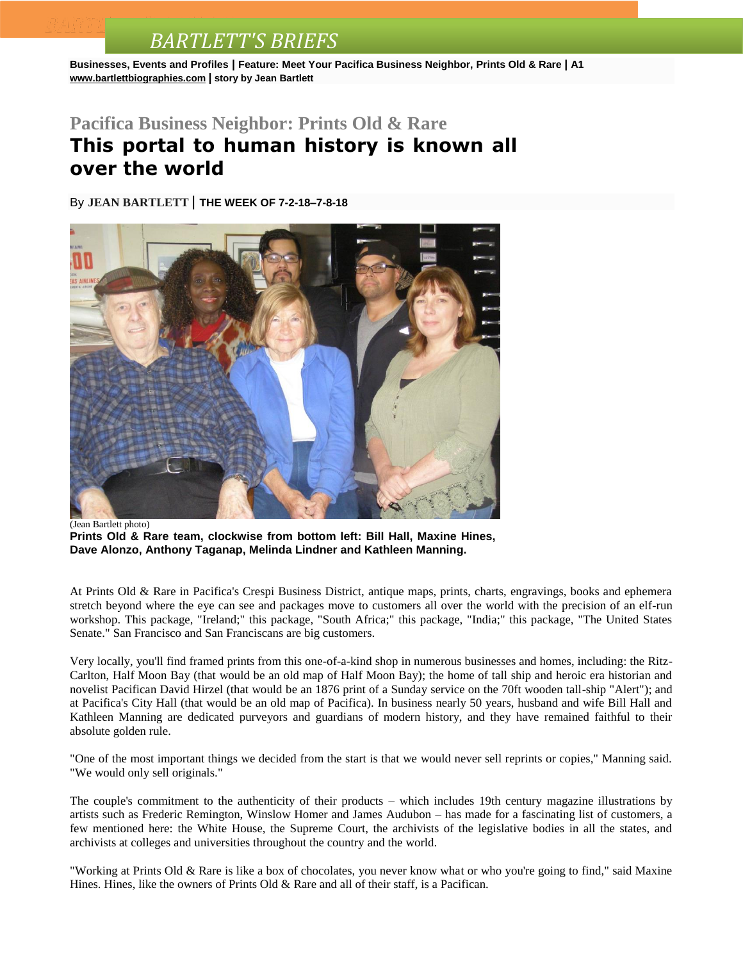**Businesses, Events and Profiles | Feature: Meet Your Pacifica Business Neighbor, Prints Old & Rare | A1 [www.bartlettbiographies.com](http://www.bartlettbiographies.com/) | story by Jean Bartlett**

#### **Pacifica Business Neighbor: Prints Old & Rare This portal to human history is known all over the world**

By **JEAN [BARTLETT](http://www.mercurynews.com/author/jean-bartlett/)** | **THE WEEK OF 7-2-18–7-8-18**



(Jean Bartlett photo)

**Prints Old & Rare team, clockwise from bottom left: Bill Hall, Maxine Hines, Dave Alonzo, Anthony Taganap, Melinda Lindner and Kathleen Manning.**

At Prints Old & Rare in Pacifica's Crespi Business District, antique maps, prints, charts, engravings, books and ephemera stretch beyond where the eye can see and packages move to customers all over the world with the precision of an elf-run workshop. This package, "Ireland;" this package, "South Africa;" this package, "India;" this package, "The United States Senate." San Francisco and San Franciscans are big customers.

Very locally, you'll find framed prints from this one-of-a-kind shop in numerous businesses and homes, including: the Ritz-Carlton, Half Moon Bay (that would be an old map of Half Moon Bay); the home of tall ship and heroic era historian and novelist Pacifican David Hirzel (that would be an 1876 print of a Sunday service on the 70ft wooden tall-ship "Alert"); and at Pacifica's City Hall (that would be an old map of Pacifica). In business nearly 50 years, husband and wife Bill Hall and Kathleen Manning are dedicated purveyors and guardians of modern history, and they have remained faithful to their absolute golden rule.

"One of the most important things we decided from the start is that we would never sell reprints or copies," Manning said. "We would only sell originals."

The couple's commitment to the authenticity of their products – which includes 19th century magazine illustrations by artists such as Frederic Remington, Winslow Homer and James Audubon – has made for a fascinating list of customers, a few mentioned here: the White House, the Supreme Court, the archivists of the legislative bodies in all the states, and archivists at colleges and universities throughout the country and the world.

"Working at Prints Old & Rare is like a box of chocolates, you never know what or who you're going to find," said Maxine Hines. Hines, like the owners of Prints Old & Rare and all of their staff, is a Pacifican.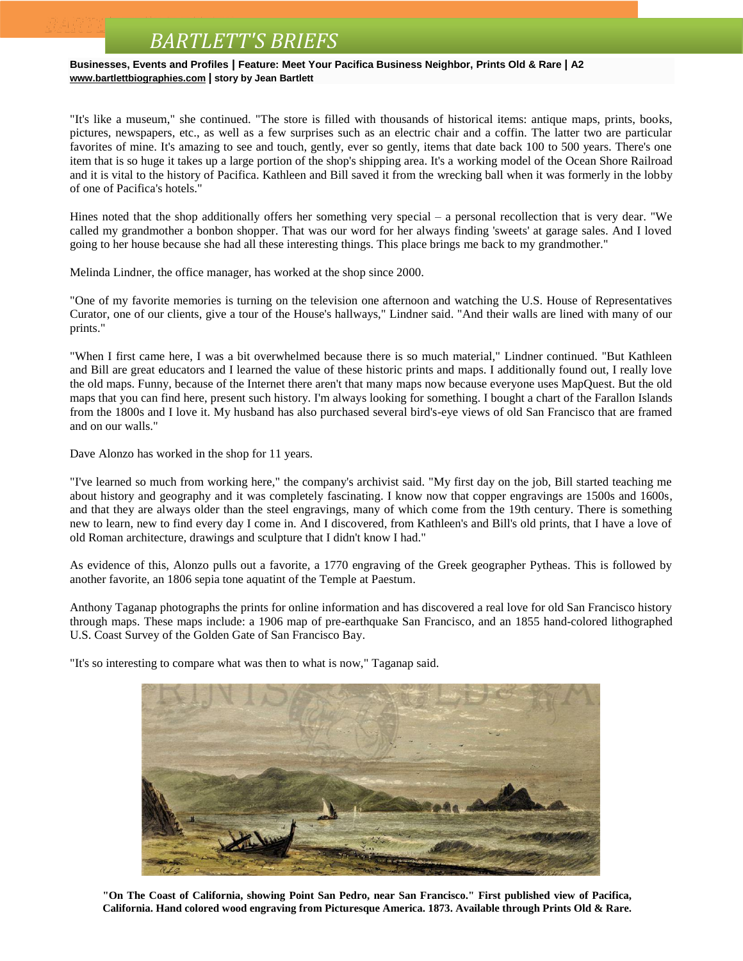**Businesses, Events and Profiles | Feature: Meet Your Pacifica Business Neighbor, Prints Old & Rare | A2 [www.bartlettbiographies.com](http://www.bartlettbiographies.com/) | story by Jean Bartlett**

"It's like a museum," she continued. "The store is filled with thousands of historical items: antique maps, prints, books, pictures, newspapers, etc., as well as a few surprises such as an electric chair and a coffin. The latter two are particular favorites of mine. It's amazing to see and touch, gently, ever so gently, items that date back 100 to 500 years. There's one item that is so huge it takes up a large portion of the shop's shipping area. It's a working model of the Ocean Shore Railroad and it is vital to the history of Pacifica. Kathleen and Bill saved it from the wrecking ball when it was formerly in the lobby of one of Pacifica's hotels."

Hines noted that the shop additionally offers her something very special – a personal recollection that is very dear. "We called my grandmother a bonbon shopper. That was our word for her always finding 'sweets' at garage sales. And I loved going to her house because she had all these interesting things. This place brings me back to my grandmother."

Melinda Lindner, the office manager, has worked at the shop since 2000.

"One of my favorite memories is turning on the television one afternoon and watching the U.S. House of Representatives Curator, one of our clients, give a tour of the House's hallways," Lindner said. "And their walls are lined with many of our prints."

"When I first came here, I was a bit overwhelmed because there is so much material," Lindner continued. "But Kathleen and Bill are great educators and I learned the value of these historic prints and maps. I additionally found out, I really love the old maps. Funny, because of the Internet there aren't that many maps now because everyone uses MapQuest. But the old maps that you can find here, present such history. I'm always looking for something. I bought a chart of the Farallon Islands from the 1800s and I love it. My husband has also purchased several bird's-eye views of old San Francisco that are framed and on our walls."

Dave Alonzo has worked in the shop for 11 years.

"I've learned so much from working here," the company's archivist said. "My first day on the job, Bill started teaching me about history and geography and it was completely fascinating. I know now that copper engravings are 1500s and 1600s, and that they are always older than the steel engravings, many of which come from the 19th century. There is something new to learn, new to find every day I come in. And I discovered, from Kathleen's and Bill's old prints, that I have a love of old Roman architecture, drawings and sculpture that I didn't know I had."

As evidence of this, Alonzo pulls out a favorite, a 1770 engraving of the Greek geographer Pytheas. This is followed by another favorite, an 1806 sepia tone aquatint of the Temple at Paestum.

Anthony Taganap photographs the prints for online information and has discovered a real love for old San Francisco history through maps. These maps include: a 1906 map of pre-earthquake San Francisco, and an 1855 hand-colored lithographed U.S. Coast Survey of the Golden Gate of San Francisco Bay.

"It's so interesting to compare what was then to what is now," Taganap said.



**"On The Coast of California, showing Point San Pedro, near San Francisco." First published view of Pacifica, California. Hand colored wood engraving from Picturesque America. 1873. Available through Prints Old & Rare.**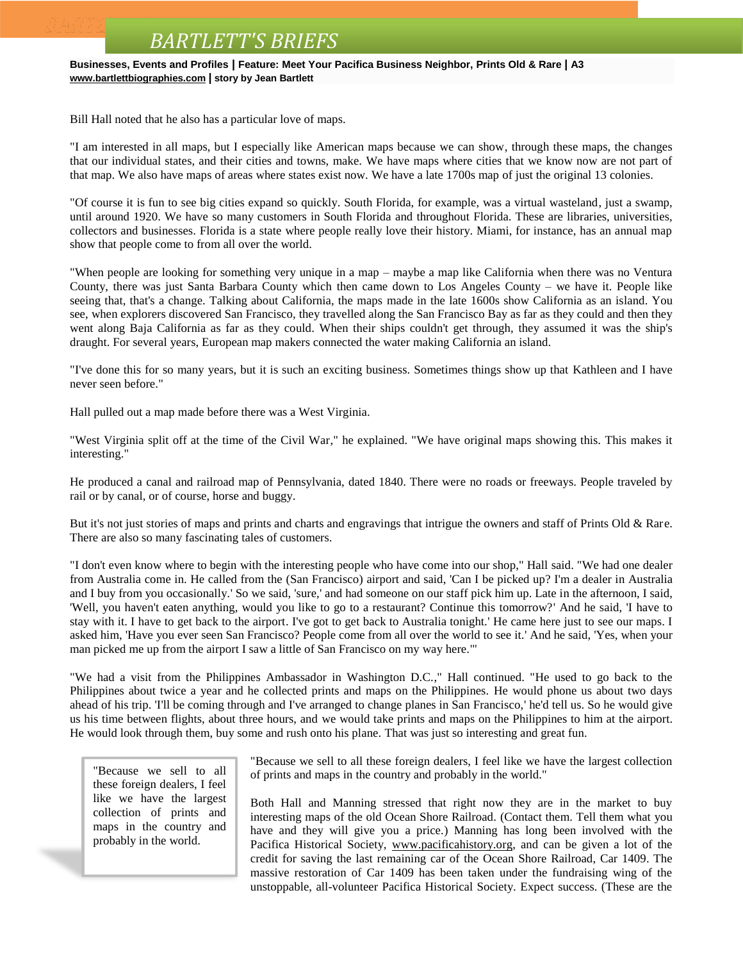**Businesses, Events and Profiles | Feature: Meet Your Pacifica Business Neighbor, Prints Old & Rare | A3 [www.bartlettbiographies.com](http://www.bartlettbiographies.com/) | story by Jean Bartlett**

Bill Hall noted that he also has a particular love of maps.

"I am interested in all maps, but I especially like American maps because we can show, through these maps, the changes that our individual states, and their cities and towns, make. We have maps where cities that we know now are not part of that map. We also have maps of areas where states exist now. We have a late 1700s map of just the original 13 colonies.

"Of course it is fun to see big cities expand so quickly. South Florida, for example, was a virtual wasteland, just a swamp, until around 1920. We have so many customers in South Florida and throughout Florida. These are libraries, universities, collectors and businesses. Florida is a state where people really love their history. Miami, for instance, has an annual map show that people come to from all over the world.

"When people are looking for something very unique in a map – maybe a map like California when there was no Ventura County, there was just Santa Barbara County which then came down to Los Angeles County – we have it. People like seeing that, that's a change. Talking about California, the maps made in the late 1600s show California as an island. You see, when explorers discovered San Francisco, they travelled along the San Francisco Bay as far as they could and then they went along Baja California as far as they could. When their ships couldn't get through, they assumed it was the ship's draught. For several years, European map makers connected the water making California an island.

"I've done this for so many years, but it is such an exciting business. Sometimes things show up that Kathleen and I have never seen before."

Hall pulled out a map made before there was a West Virginia.

"West Virginia split off at the time of the Civil War," he explained. "We have original maps showing this. This makes it interesting."

He produced a canal and railroad map of Pennsylvania, dated 1840. There were no roads or freeways. People traveled by rail or by canal, or of course, horse and buggy.

But it's not just stories of maps and prints and charts and engravings that intrigue the owners and staff of Prints Old & Rare. There are also so many fascinating tales of customers.

"I don't even know where to begin with the interesting people who have come into our shop," Hall said. "We had one dealer from Australia come in. He called from the (San Francisco) airport and said, 'Can I be picked up? I'm a dealer in Australia and I buy from you occasionally.' So we said, 'sure,' and had someone on our staff pick him up. Late in the afternoon, I said, 'Well, you haven't eaten anything, would you like to go to a restaurant? Continue this tomorrow?' And he said, 'I have to stay with it. I have to get back to the airport. I've got to get back to Australia tonight.' He came here just to see our maps. I asked him, 'Have you ever seen San Francisco? People come from all over the world to see it.' And he said, 'Yes, when your man picked me up from the airport I saw a little of San Francisco on my way here.'"

"We had a visit from the Philippines Ambassador in Washington D.C.," Hall continued. "He used to go back to the Philippines about twice a year and he collected prints and maps on the Philippines. He would phone us about two days ahead of his trip. 'I'll be coming through and I've arranged to change planes in San Francisco,' he'd tell us. So he would give us his time between flights, about three hours, and we would take prints and maps on the Philippines to him at the airport. He would look through them, buy some and rush onto his plane. That was just so interesting and great fun.

"Because we sell to all these foreign dealers, I feel like we have the largest collection of prints and maps in the country and probably in the world.

"Because we sell to all these foreign dealers, I feel like we have the largest collection of prints and maps in the country and probably in the world."

Both Hall and Manning stressed that right now they are in the market to buy interesting maps of the old Ocean Shore Railroad. (Contact them. Tell them what you have and they will give you a price.) Manning has long been involved with the Pacifica Historical Society, [www.pacificahistory.org,](http://www.pacificahistory.org/) and can be given a lot of the credit for saving the last remaining car of the Ocean Shore Railroad, Car 1409. The massive restoration of Car 1409 has been taken under the fundraising wing of the unstoppable, all-volunteer Pacifica Historical Society. Expect success. (These are the